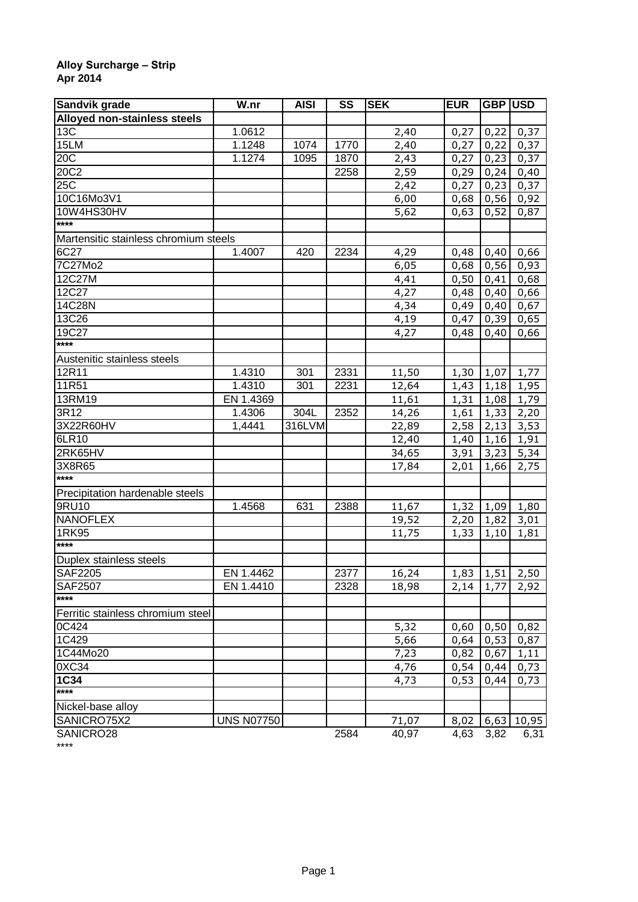## **Alloy Surcharge – Strip Apr 2014**

| Sandvik grade                         | W.nr              | <b>AISI</b> | SS   | <b>SEK</b>     | <b>EUR</b> | GBP USD |              |
|---------------------------------------|-------------------|-------------|------|----------------|------------|---------|--------------|
| Alloyed non-stainless steels          |                   |             |      |                |            |         |              |
| 13C                                   | 1.0612            |             |      | 2,40           | 0,27       | 0,22    | 0,37         |
| 15LM                                  | 1.1248            | 1074        | 1770 | 2,40           | 0,27       | 0,22    | 0,37         |
| 20C                                   | 1.1274            | 1095        | 1870 | 2,43           | 0,27       | 0,23    | 0,37         |
| 20C2                                  |                   |             | 2258 | 2,59           | 0,29       | 0,24    | 0,40         |
| 25 <sup>2</sup>                       |                   |             |      | 2,42           | 0,27       | 0,23    | 0,37         |
| 10C16Mo3V1                            |                   |             |      | 6,00           | 0,68       | 0,56    | 0,92         |
| 10W4HS30HV                            |                   |             |      | 5,62           | 0,63       | 0,52    | 0,87         |
| ****                                  |                   |             |      |                |            |         |              |
| Martensitic stainless chromium steels |                   |             |      |                |            |         |              |
| 6C27                                  | 1.4007            | 420         | 2234 | 4,29           | 0,48       | 0,40    | 0,66         |
| 7C27Mo2                               |                   |             |      | 6,05           | 0,68       | 0,56    | 0,93         |
| 12C27M                                |                   |             |      | 4,41           | 0,50       | 0,41    | 0,68         |
| 12C27                                 |                   |             |      | 4,27           | 0,48       | 0,40    | 0,66         |
| 14C28N                                |                   |             |      | 4,34           | 0,49       | 0,40    | 0,67         |
| 13C26                                 |                   |             |      | 4,19           | 0,47       | 0,39    | 0,65         |
| 19C27                                 |                   |             |      | 4,27           | 0,48       | 0,40    | 0,66         |
| ****                                  |                   |             |      |                |            |         |              |
| Austenitic stainless steels           |                   |             |      |                |            |         |              |
| 12R11                                 | 1.4310            | 301         | 2331 | 11,50          | 1,30       | 1,07    | 1,77         |
| 11R51                                 | 1.4310            | 301         | 2231 | 12,64          | 1,43       | 1,18    | 1,95         |
| 13RM19                                | EN 1.4369         |             |      | 11,61          | 1,31       | 1,08    | 1,79         |
| 3R12                                  | 1.4306            | 304L        | 2352 | 14,26          | 1,61       | 1,33    | 2,20         |
| 3X22R60HV                             | 1,4441            | 316LVM      |      | 22,89          | 2,58       | 2,13    | 3,53         |
| 6LR10                                 |                   |             |      | 12,40          | 1,40       | 1,16    | 1,91         |
| 2RK65HV                               |                   |             |      |                | 3,91       | 3,23    |              |
| 3X8R65                                |                   |             |      | 34,65<br>17,84 |            |         | 5,34<br>2,75 |
| ****                                  |                   |             |      |                | 2,01       | 1,66    |              |
|                                       |                   |             |      |                |            |         |              |
| Precipitation hardenable steels       |                   |             |      |                |            |         |              |
| 9RU10<br><b>NANOFLEX</b>              | 1.4568            | 631         | 2388 | 11,67          | 1,32       | 1,09    | 1,80         |
|                                       |                   |             |      | 19,52          | 2,20       | 1,82    | 3,01         |
| 1RK95<br>$***$                        |                   |             |      | 11,75          | 1,33       | 1,10    | 1,81         |
|                                       |                   |             |      |                |            |         |              |
| Duplex stainless steels               |                   |             |      |                |            |         |              |
| <b>SAF2205</b>                        | EN 1.4462         |             | 2377 | 16,24          | 1,83       | 1,51    | 2,50         |
| <b>SAF2507</b><br>****                | EN 1.4410         |             | 2328 | 18,98          | 2,14       | 1,77    | 2,92         |
|                                       |                   |             |      |                |            |         |              |
| Ferritic stainless chromium steel     |                   |             |      |                |            |         |              |
| 0C424                                 |                   |             |      | 5,32           | 0,60       | 0,50    | 0,82         |
| 1C429                                 |                   |             |      | 5,66           | 0,64       | 0,53    | 0,87         |
| 1C44Mo20                              |                   |             |      | 7,23           | 0,82       | 0,67    | 1,11         |
| 0XC34                                 |                   |             |      | 4,76           | 0,54       | 0,44    | 0,73         |
| $1C\overline{34}$                     |                   |             |      | 4,73           | 0,53       | 0,44    | 0,73         |
| $***$                                 |                   |             |      |                |            |         |              |
| Nickel-base alloy                     |                   |             |      |                |            |         |              |
| SANICRO75X2                           | <b>UNS N07750</b> |             |      | 71,07          | 8,02       | 6,63    | 10,95        |
| SANICRO28                             |                   |             | 2584 | 40,97          | 4,63       | 3,82    | 6,31         |

SANICRO28